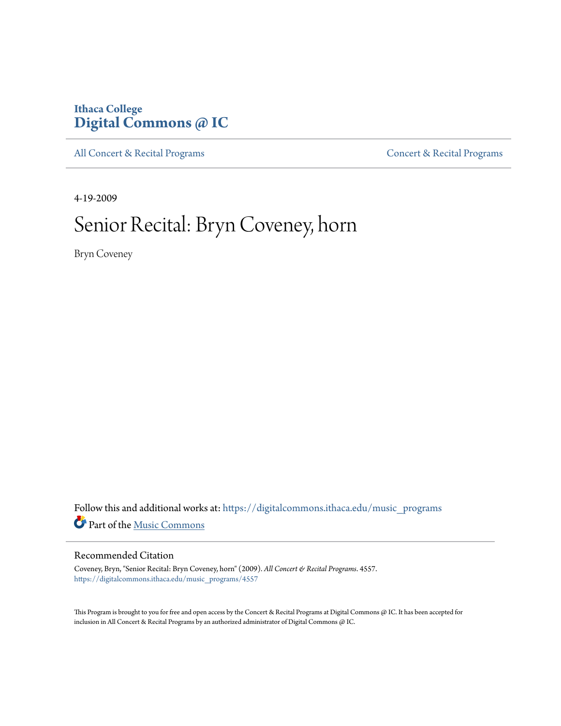### **Ithaca College [Digital Commons @ IC](https://digitalcommons.ithaca.edu?utm_source=digitalcommons.ithaca.edu%2Fmusic_programs%2F4557&utm_medium=PDF&utm_campaign=PDFCoverPages)**

[All Concert & Recital Programs](https://digitalcommons.ithaca.edu/music_programs?utm_source=digitalcommons.ithaca.edu%2Fmusic_programs%2F4557&utm_medium=PDF&utm_campaign=PDFCoverPages) **[Concert & Recital Programs](https://digitalcommons.ithaca.edu/som_programs?utm_source=digitalcommons.ithaca.edu%2Fmusic_programs%2F4557&utm_medium=PDF&utm_campaign=PDFCoverPages)** 

4-19-2009

## Senior Recital: Bryn Coveney, horn

Bryn Coveney

Follow this and additional works at: [https://digitalcommons.ithaca.edu/music\\_programs](https://digitalcommons.ithaca.edu/music_programs?utm_source=digitalcommons.ithaca.edu%2Fmusic_programs%2F4557&utm_medium=PDF&utm_campaign=PDFCoverPages) Part of the [Music Commons](http://network.bepress.com/hgg/discipline/518?utm_source=digitalcommons.ithaca.edu%2Fmusic_programs%2F4557&utm_medium=PDF&utm_campaign=PDFCoverPages)

### Recommended Citation

Coveney, Bryn, "Senior Recital: Bryn Coveney, horn" (2009). *All Concert & Recital Programs*. 4557. [https://digitalcommons.ithaca.edu/music\\_programs/4557](https://digitalcommons.ithaca.edu/music_programs/4557?utm_source=digitalcommons.ithaca.edu%2Fmusic_programs%2F4557&utm_medium=PDF&utm_campaign=PDFCoverPages)

This Program is brought to you for free and open access by the Concert & Recital Programs at Digital Commons @ IC. It has been accepted for inclusion in All Concert & Recital Programs by an authorized administrator of Digital Commons @ IC.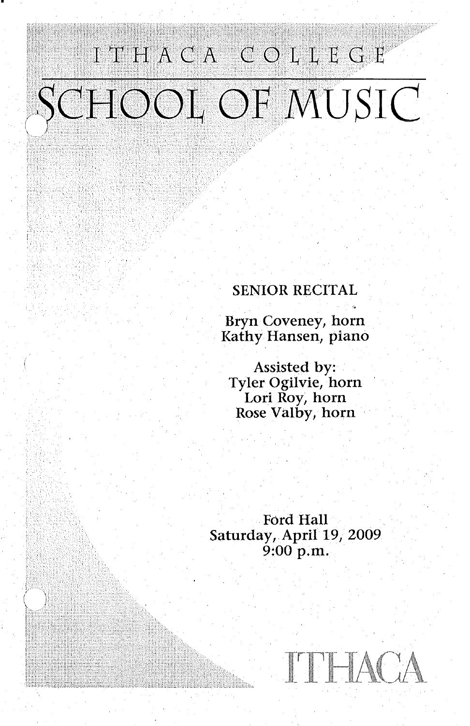# ITHACA COLLEGE SCHOOL OF MUSIC

·~. - I '

### SENIOR RECITAL

Bryn Coveney, horn Kathy Hansen, piano

Assisted by: Tyler Ogilvie, horn Lori Roy, horn Rose Valby, horn

Ford Hall Saturday, April 19, 2009 9:00 p.m.